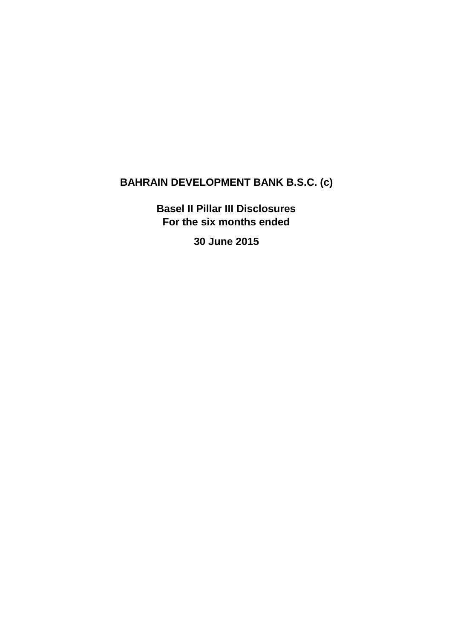# **BAHRAIN DEVELOPMENT BANK B.S.C. (c)**

**Basel II Pillar III Disclosures For the six months ended** 

**30 June 2015**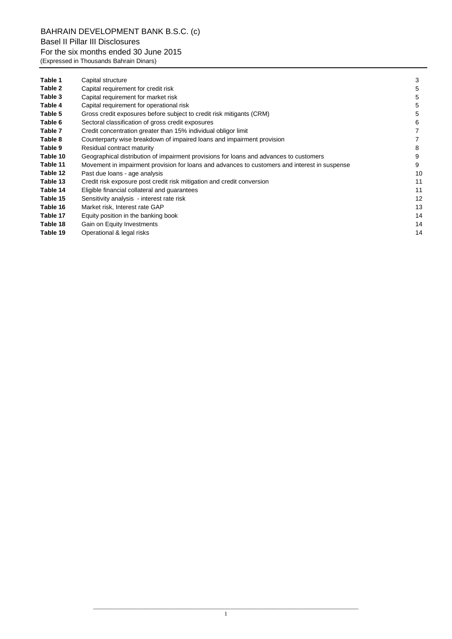| Table 1  | Capital structure                                                                             | 3  |
|----------|-----------------------------------------------------------------------------------------------|----|
| Table 2  | Capital requirement for credit risk                                                           | 5  |
| Table 3  | Capital requirement for market risk                                                           | 5  |
| Table 4  | Capital requirement for operational risk                                                      | 5  |
| Table 5  | Gross credit exposures before subject to credit risk mitigants (CRM)                          | 5  |
| Table 6  | Sectoral classification of gross credit exposures                                             | 6  |
| Table 7  | Credit concentration greater than 15% individual obligor limit                                |    |
| Table 8  | Counterparty wise breakdown of impaired loans and impairment provision                        |    |
| Table 9  | Residual contract maturity                                                                    | 8  |
| Table 10 | Geographical distribution of impairment provisions for loans and advances to customers        | 9  |
| Table 11 | Movement in impairment provision for loans and advances to customers and interest in suspense | 9  |
| Table 12 | Past due loans - age analysis                                                                 | 10 |
| Table 13 | Credit risk exposure post credit risk mitigation and credit conversion                        | 11 |
| Table 14 | Eligible financial collateral and guarantees                                                  | 11 |
| Table 15 | Sensitivity analysis - interest rate risk                                                     | 12 |
| Table 16 | Market risk, Interest rate GAP                                                                | 13 |
| Table 17 | Equity position in the banking book                                                           | 14 |
| Table 18 | Gain on Equity Investments                                                                    | 14 |
| Table 19 | Operational & legal risks                                                                     | 14 |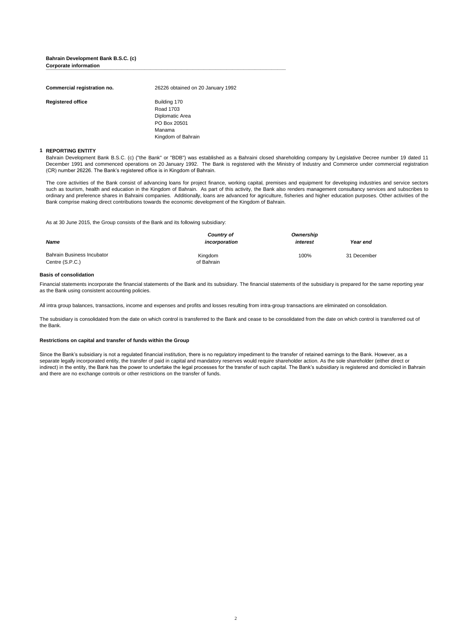#### **Bahrain Development Bank B.S.C. (c) Corporate information Lorporate information**

| Commercial registration no. | 26226 obtained on 20 January 1992                                                            |
|-----------------------------|----------------------------------------------------------------------------------------------|
| <b>Registered office</b>    | Building 170<br>Road 1703<br>Diplomatic Area<br>PO Box 20501<br>Manama<br>Kingdom of Bahrain |

#### **1 REPORTING ENTITY**

Bahrain Development Bank B.S.C. (c) ("the Bank" or "BDB") was established as a Bahraini closed shareholding company by Legislative Decree number 19 dated 11 December 1991 and commenced operations on 20 January 1992. The Bank is registered with the Ministry of Industry and Commerce under commercial registration (CR) number 26226. The Bank's registered office is in Kingdom of Bahrain.

The core activities of the Bank consist of advancing loans for project finance, working capital, premises and equipment for developing industries and service sectors such as tourism, health and education in the Kingdom of Bahrain. As part of this activity, the Bank also renders management consultancy services and subscribes to ordinary and preference shares in Bahraini companies. Additionally, loans are advanced for agriculture, fisheries and higher education purposes. Other activities of the Bank comprise making direct contributions towards the economic development of the Kingdom of Bahrain.

As at 30 June 2015, the Group consists of the Bank and its following subsidiary:

|                                               | Country of            | Ownership |             |  |  |
|-----------------------------------------------|-----------------------|-----------|-------------|--|--|
| Name                                          | incorporation         | interest  | Year end    |  |  |
| Bahrain Business Incubator<br>Centre (S.P.C.) | Kingdom<br>of Bahrain | 100%      | 31 December |  |  |

#### **Basis of consolidation**

Financial statements incorporate the financial statements of the Bank and its subsidiary. The financial statements of the subsidiary is prepared for the same reporting year as the Bank using consistent accounting policies.

All intra group balances, transactions, income and expenses and profits and losses resulting from intra-group transactions are eliminated on consolidation.

The subsidiary is consolidated from the date on which control is transferred to the Bank and cease to be consolidated from the date on which control is transferred out of the Bank.

### **Restrictions on capital and transfer of funds within the Group**

Since the Bank's subsidiary is not a regulated financial institution, there is no regulatory impediment to the transfer of retained earnings to the Bank. However, as a separate legally incorporated entity, the transfer of paid in capital and mandatory reserves would require shareholder action. As the sole shareholder (either direct or indirect) in the entity, the Bank has the power to undertake the legal processes for the transfer of such capital. The Bank's subsidiary is registered and domiciled in Bahrain and there are no exchange controls or other restrictions on the transfer of funds.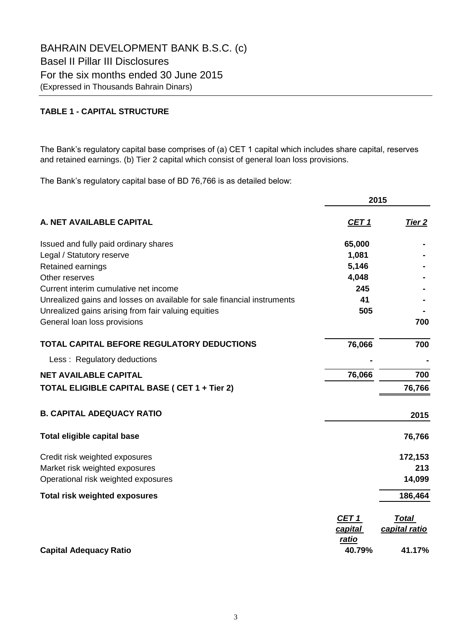## **TABLE 1 - CAPITAL STRUCTURE**

The Bank's regulatory capital base comprises of (a) CET 1 capital which includes share capital, reserves and retained earnings. (b) Tier 2 capital which consist of general loan loss provisions.

The Bank's regulatory capital base of BD 76,766 is as detailed below:

|                                                                         |                  | 2015          |
|-------------------------------------------------------------------------|------------------|---------------|
| A. NET AVAILABLE CAPITAL                                                | <u>CET 1</u>     | Tier 2        |
| Issued and fully paid ordinary shares                                   | 65,000           |               |
| Legal / Statutory reserve                                               | 1,081            |               |
| Retained earnings                                                       | 5,146            |               |
| Other reserves                                                          | 4,048            |               |
| Current interim cumulative net income                                   | 245              |               |
| Unrealized gains and losses on available for sale financial instruments | 41               |               |
| Unrealized gains arising from fair valuing equities                     | 505              |               |
| General loan loss provisions                                            |                  | 700           |
| TOTAL CAPITAL BEFORE REGULATORY DEDUCTIONS                              | 76,066           | 700           |
| Less: Regulatory deductions                                             |                  |               |
| <b>NET AVAILABLE CAPITAL</b>                                            | 76,066           | 700           |
| TOTAL ELIGIBLE CAPITAL BASE ( CET 1 + Tier 2)                           |                  | 76,766        |
| <b>B. CAPITAL ADEQUACY RATIO</b>                                        |                  | 2015          |
| <b>Total eligible capital base</b>                                      |                  | 76,766        |
| Credit risk weighted exposures                                          |                  | 172,153       |
| Market risk weighted exposures                                          |                  | 213           |
| Operational risk weighted exposures                                     |                  | 14,099        |
| <b>Total risk weighted exposures</b>                                    |                  | 186,464       |
|                                                                         | CET <sub>1</sub> | <b>Total</b>  |
|                                                                         | capital<br>ratio | capital ratio |
| <b>Capital Adequacy Ratio</b>                                           | 40.79%           | 41.17%        |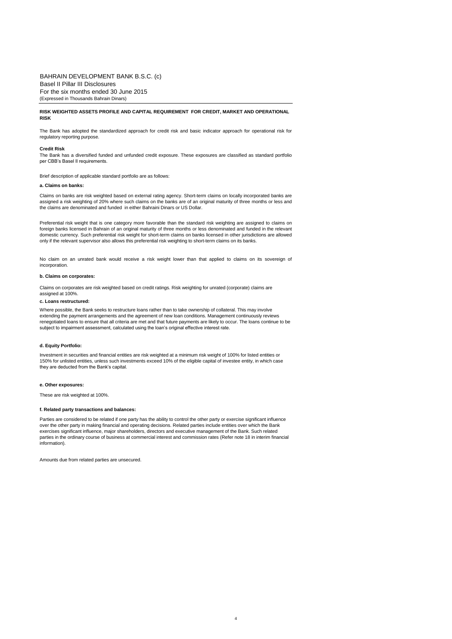#### **RISK WEIGHTED ASSETS PROFILE AND CAPITAL REQUIREMENT FOR CREDIT, MARKET AND OPERATIONAL RISK**

The Bank has adopted the standardized approach for credit risk and basic indicator approach for operational risk for regulatory reporting purpose.

#### **Credit Risk**

The Bank has a diversified funded and unfunded credit exposure. These exposures are classified as standard portfolio per CBB's Basel II requirements.

Brief description of applicable standard portfolio are as follows:

### **a. Claims on banks:**

Claims on banks are risk weighted based on external rating agency. Short-term claims on locally incorporated banks are assigned a risk weighting of 20% where such claims on the banks are of an original maturity of three months or less and the claims are denominated and funded in either Bahraini Dinars or US Dollar.

Preferential risk weight that is one category more favorable than the standard risk weighting are assigned to claims on foreign banks licensed in Bahrain of an original maturity of three months or less denominated and funded in the relevant domestic currency. Such preferential risk weight for short-term claims on banks licensed in other jurisdictions are allowed only if the relevant supervisor also allows this preferential risk weighting to short-term claims on its banks.

No claim on an unrated bank would receive a risk weight lower than that applied to claims on its sovereign of incorporation

#### **b. Claims on corporates:**

Claims on corporates are risk weighted based on credit ratings. Risk weighting for unrated (corporate) claims are

#### assigned at 100%. **c. Loans restructured:**

Where possible, the Bank seeks to restructure loans rather than to take ownership of collateral. This may involve extending the payment arrangements and the agreement of new loan conditions. Management continuously reviews renegotiated loans to ensure that all criteria are met and that future payments are likely to occur. The loans continue to be subject to impairment assessment, calculated using the loan's original effective interest rate.

### **d. Equity Portfolio:**

Investment in securities and financial entities are risk weighted at a minimum risk weight of 100% for listed entities or 150% for unlisted entities, unless such investments exceed 10% of the eligible capital of investee entity, in which case they are deducted from the Bank's capital.

### **e. Other exposures:**

These are risk weighted at 100%.

#### **f. Related party transactions and balances:**

Parties are considered to be related if one party has the ability to control the other party or exercise significant influence over the other party in making financial and operating decisions. Related parties include entities over which the Bank exercises significant influence, major shareholders, directors and executive management of the Bank. Such related<br>parties in the ordinary course of business at commercial interest and commission rates (Refer note 18 in int information).

4

Amounts due from related parties are unsecured.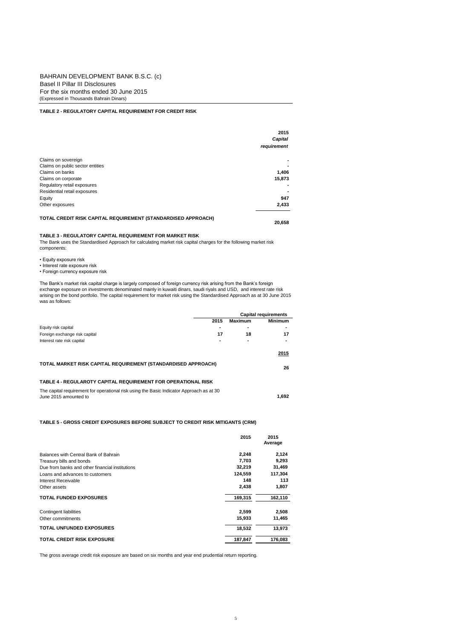### **TABLE 2 - REGULATORY CAPITAL REQUIREMENT FOR CREDIT RISK**

|                                                               | 2015<br>Capital |
|---------------------------------------------------------------|-----------------|
|                                                               | requirement     |
| Claims on sovereign                                           |                 |
| Claims on public sector entities                              |                 |
| Claims on banks                                               | 1,406           |
| Claims on corporate                                           | 15,873          |
| Regulatory retail exposures                                   |                 |
| Residential retail exposures                                  |                 |
| Equity                                                        | 947             |
| Other exposures                                               | 2,433           |
| TOTAL CREDIT RISK CAPITAL REQUIREMENT (STANDARDISED APPROACH) | 20.658          |

### **TABLE 3 - REGULATORY CAPITAL REQUIREMENT FOR MARKET RISK**

The Bank uses the Standardised Approach for calculating market risk capital charges for the following market risk components:

- Equity exposure risk
- Interest rate exposure risk
- Foreign currency exposure risk

The Bank's market risk capital charge is largely composed of foreign currency risk arising from the Bank's foreign<br>exchange exposure on investments denominated mainly in kuwaiti dinars, saudi riyals and USD, and interest r arising on the bond portfolio. The capital requirement for market risk using the Standardised Approach as at 30 June 2015 was as follows:

|                                                                                                                   |      |         | <b>Capital requirements</b> |
|-------------------------------------------------------------------------------------------------------------------|------|---------|-----------------------------|
|                                                                                                                   | 2015 | Maximum | <b>Minimum</b>              |
| Equity risk capital                                                                                               |      |         |                             |
| Foreign exchange risk capital                                                                                     | 17   | 18      | 17                          |
| Interest rate risk capital                                                                                        |      |         |                             |
|                                                                                                                   |      |         | 2015                        |
| TOTAL MARKET RISK CAPITAL REQUIREMENT (STANDARDISED APPROACH)                                                     |      |         | 26                          |
| TABLE 4 - REGULAROTY CAPITAL REQUIREMENT FOR OPERATIONAL RISK                                                     |      |         |                             |
| The capital requirement for operational risk using the Basic Indicator Approach as at 30<br>June 2015 amounted to |      |         | 1.692                       |

### **TABLE 5 - GROSS CREDIT EXPOSURES BEFORE SUBJECT TO CREDIT RISK MITIGANTS (CRM)**

|                                                 | 2015    | 2015<br>Average |
|-------------------------------------------------|---------|-----------------|
| Balances with Central Bank of Bahrain           | 2.248   | 2,124           |
| Treasury bills and bonds                        | 7.703   | 9,293           |
| Due from banks and other financial institutions | 32,219  | 31,469          |
| Loans and advances to customers                 | 124,559 | 117,304         |
| Interest Receivable                             | 148     | 113             |
| Other assets                                    | 2,438   | 1,807           |
| <b>TOTAL FUNDED EXPOSURES</b>                   | 169,315 | 162,110         |
| Contingent liabilities                          | 2,599   | 2,508           |
| Other commitments                               | 15,933  | 11,465          |
| <b>TOTAL UNFUNDED EXPOSURES</b>                 | 18,532  | 13,973          |
| <b>TOTAL CREDIT RISK EXPOSURE</b>               | 187,847 | 176,083         |

The gross average credit risk exposure are based on six months and year end prudential return reporting.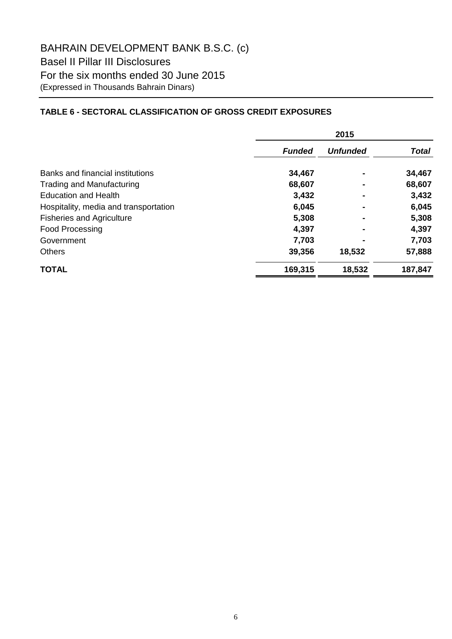## **TABLE 6 - SECTORAL CLASSIFICATION OF GROSS CREDIT EXPOSURES**

|                                       | 2015          |                 |              |  |
|---------------------------------------|---------------|-----------------|--------------|--|
|                                       | <b>Funded</b> | <b>Unfunded</b> | <b>Total</b> |  |
| Banks and financial institutions      | 34,467        |                 | 34,467       |  |
| <b>Trading and Manufacturing</b>      | 68,607        |                 | 68,607       |  |
| <b>Education and Health</b>           | 3,432         |                 | 3,432        |  |
| Hospitality, media and transportation | 6,045         |                 | 6,045        |  |
| <b>Fisheries and Agriculture</b>      | 5,308         |                 | 5,308        |  |
| <b>Food Processing</b>                | 4,397         |                 | 4,397        |  |
| Government                            | 7,703         |                 | 7,703        |  |
| <b>Others</b>                         | 39,356        | 18,532          | 57,888       |  |
| <b>TOTAL</b>                          | 169,315       | 18,532          | 187,847      |  |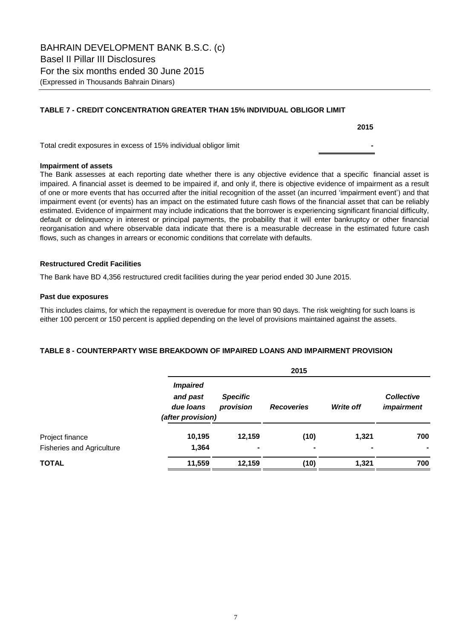### **TABLE 7 - CREDIT CONCENTRATION GREATER THAN 15% INDIVIDUAL OBLIGOR LIMIT**

Total credit exposures in excess of 15% individual obligor limit **-** 

### **Impairment of assets**

The Bank assesses at each reporting date whether there is any objective evidence that a specific financial asset is impaired. A financial asset is deemed to be impaired if, and only if, there is objective evidence of impairment as a result of one or more events that has occurred after the initial recognition of the asset (an incurred 'impairment event') and that impairment event (or events) has an impact on the estimated future cash flows of the financial asset that can be reliably estimated. Evidence of impairment may include indications that the borrower is experiencing significant financial difficulty, default or delinquency in interest or principal payments, the probability that it will enter bankruptcy or other financial reorganisation and where observable data indicate that there is a measurable decrease in the estimated future cash flows, such as changes in arrears or economic conditions that correlate with defaults.

### **Restructured Credit Facilities**

The Bank have BD 4,356 restructured credit facilities during the year period ended 30 June 2015.

### **Past due exposures**

This includes claims, for which the repayment is overedue for more than 90 days. The risk weighting for such loans is either 100 percent or 150 percent is applied depending on the level of provisions maintained against the assets.

### **TABLE 8 - COUNTERPARTY WISE BREAKDOWN OF IMPAIRED LOANS AND IMPAIRMENT PROVISION**

|                                  |                                                               |                              | 2015              |                  |                                        |  |
|----------------------------------|---------------------------------------------------------------|------------------------------|-------------------|------------------|----------------------------------------|--|
|                                  | <b>Impaired</b><br>and past<br>due loans<br>(after provision) | <b>Specific</b><br>provision | <b>Recoveries</b> | <b>Write off</b> | <b>Collective</b><br><i>impairment</i> |  |
| Project finance                  | 10,195                                                        | 12,159                       | (10)              | 1,321            | 700                                    |  |
| <b>Fisheries and Agriculture</b> | 1,364                                                         | ۰                            | ٠                 |                  | ۰                                      |  |
| <b>TOTAL</b>                     | 11,559                                                        | 12,159                       | (10)              | 1,321            | 700                                    |  |

**2015**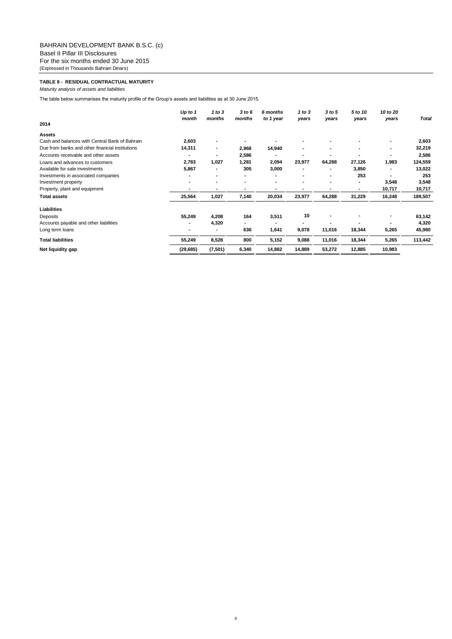### **TABLE 9 - RESIDUAL CONTRACTUAL MATURITY**

*Maturity analysis of assets and liabilities*

The table below summarises the maturity profile of the Group's assets and liabilities as at 30 June 2015.

|                                                 | Up to 1<br>month | 1 to 3<br>months         | 3 to 6<br>months | 6 months<br>to 1 year | 1 to 3<br>years | 3 to 5<br>years | 5 to 10<br>years | 10 to 20<br>years | <b>Total</b> |
|-------------------------------------------------|------------------|--------------------------|------------------|-----------------------|-----------------|-----------------|------------------|-------------------|--------------|
| 2014                                            |                  |                          |                  |                       |                 |                 |                  |                   |              |
| <b>Assets</b>                                   |                  |                          |                  |                       |                 |                 |                  |                   |              |
| Cash and balances with Central Bank of Bahrain  | 2,603            |                          |                  |                       |                 |                 |                  |                   | 2,603        |
| Due from banks and other financial institutions | 14,311           | $\overline{\phantom{a}}$ | 2,968            | 14,940                |                 |                 |                  | ۰                 | 32,219       |
| Accounts receivable and other assets            | $\blacksquare$   | $\blacksquare$           | 2,586            |                       |                 |                 |                  |                   | 2,586        |
| Loans and advances to customers                 | 2,783            | 1,027                    | 1,281            | 2,094                 | 23,977          | 64,288          | 27,126           | 1,983             | 124,559      |
| Available for sale investments                  | 5,867            |                          | 305              | 3,000                 |                 |                 | 3,850            |                   | 13,022       |
| Investments in associated companies             |                  |                          |                  |                       |                 |                 | 253              |                   | 253          |
| Investment property                             | ٠                |                          |                  |                       |                 |                 |                  | 3,548             | 3,548        |
| Property, plant and equipment                   | $\blacksquare$   |                          |                  |                       |                 |                 |                  | 10,717            | 10,717       |
| <b>Total assets</b>                             | 25,564           | 1,027                    | 7,140            | 20,034                | 23,977          | 64,288          | 31,229           | 16,248            | 189,507      |
| Liabilities                                     |                  |                          |                  |                       |                 |                 |                  |                   |              |
| Deposits                                        | 55,249           | 4,208                    | 164              | 3,511                 | 10              |                 |                  |                   | 63,142       |
| Accounts payable and other liabilities          |                  | 4,320                    | $\blacksquare$   |                       | $\blacksquare$  |                 |                  |                   | 4,320        |
| Long term loans                                 |                  |                          | 636              | 1,641                 | 9,078           | 11,016          | 18,344           | 5,265             | 45,980       |
| <b>Total liabilities</b>                        | 55,249           | 8,528                    | 800              | 5,152                 | 9,088           | 11,016          | 18,344           | 5,265             | 113,442      |
| Net liquidity gap                               | (29, 685)        | (7,501)                  | 6,340            | 14,882                | 14,889          | 53,272          | 12,885           | 10,983            |              |

8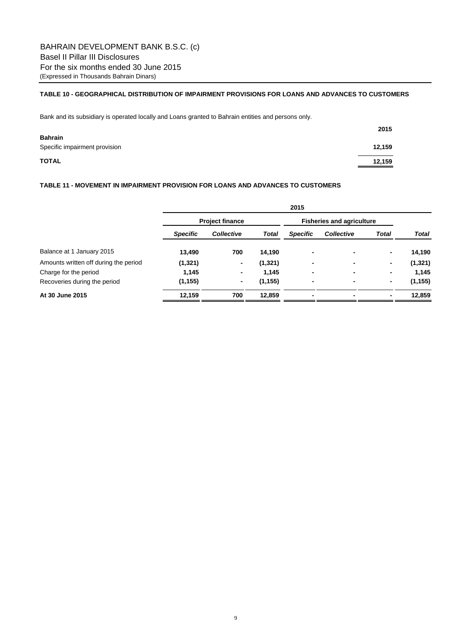### **TABLE 10 - GEOGRAPHICAL DISTRIBUTION OF IMPAIRMENT PROVISIONS FOR LOANS AND ADVANCES TO CUSTOMERS**

Bank and its subsidiary is operated locally and Loans granted to Bahrain entities and persons only.

| <b>Bahrain</b>                | 2015                                                                                                                                                                                                                                           |
|-------------------------------|------------------------------------------------------------------------------------------------------------------------------------------------------------------------------------------------------------------------------------------------|
| Specific impairment provision | 12,159                                                                                                                                                                                                                                         |
| <b>TOTAL</b>                  | 12,159<br><u> The Communication of the Communication of the Communication of the Communication of the Communication of the Communication of the Communication of the Communication of the Communication of the Communication of the Commun</u> |

### **TABLE 11 - MOVEMENT IN IMPAIRMENT PROVISION FOR LOANS AND ADVANCES TO CUSTOMERS**

|                                       |                        | 2015              |          |                                  |                   |       |          |  |
|---------------------------------------|------------------------|-------------------|----------|----------------------------------|-------------------|-------|----------|--|
|                                       | <b>Project finance</b> |                   |          | <b>Fisheries and agriculture</b> |                   |       |          |  |
|                                       | <b>Specific</b>        | <b>Collective</b> | Total    | <b>Specific</b>                  | <b>Collective</b> | Total | Total    |  |
| Balance at 1 January 2015             | 13,490                 | 700               | 14,190   | ٠                                |                   |       | 14,190   |  |
| Amounts written off during the period | (1,321)                | ۰                 | (1,321)  | ٠                                |                   | ۰     | (1,321)  |  |
| Charge for the period                 | 1,145                  | ۰                 | 1,145    | ٠                                | ۰                 |       | 1,145    |  |
| Recoveries during the period          | (1, 155)               | ٠                 | (1, 155) | ٠                                | ۰                 | ۰     | (1, 155) |  |
| At 30 June 2015                       | 12,159                 | 700               | 12,859   |                                  |                   |       | 12.859   |  |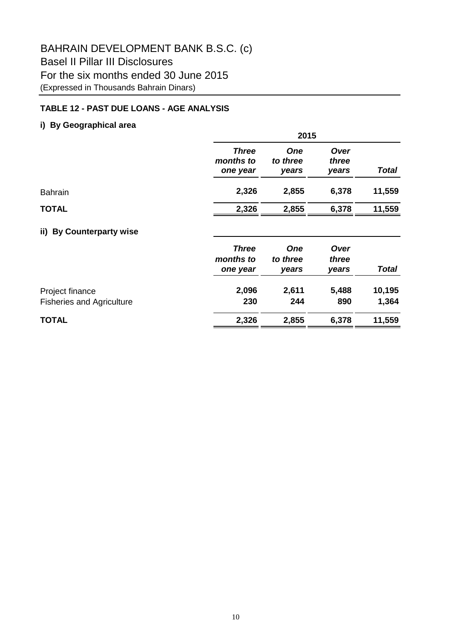# **TABLE 12 - PAST DUE LOANS - AGE ANALYSIS**

# **i) By Geographical area**

|                                                     | 2015                                  |                                 |                        |                 |  |
|-----------------------------------------------------|---------------------------------------|---------------------------------|------------------------|-----------------|--|
|                                                     | <b>Three</b><br>months to<br>one year | <b>One</b><br>to three<br>years | Over<br>three<br>years | Total           |  |
| <b>Bahrain</b>                                      | 2,326                                 | 2,855                           | 6,378                  | 11,559          |  |
| <b>TOTAL</b>                                        | 2,326                                 | 2,855                           | 6,378                  | 11,559          |  |
| <b>By Counterparty wise</b><br>ii)                  |                                       |                                 |                        |                 |  |
|                                                     | <b>Three</b><br>months to<br>one year | <b>One</b><br>to three<br>years | Over<br>three<br>years | <b>Total</b>    |  |
| Project finance<br><b>Fisheries and Agriculture</b> | 2,096<br>230                          | 2,611<br>244                    | 5,488<br>890           | 10,195<br>1,364 |  |

# **TOTAL 2,326 2,855 6,378 11,559**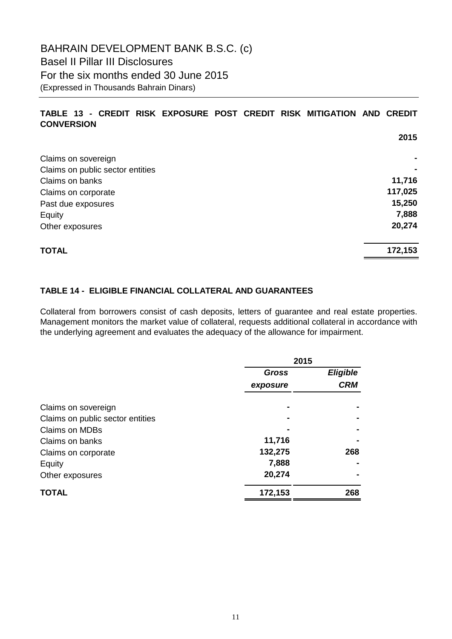# **TABLE 13 - CREDIT RISK EXPOSURE POST CREDIT RISK MITIGATION AND CREDIT CONVERSION**

|                                  | 2015    |
|----------------------------------|---------|
| Claims on sovereign              | ۰       |
| Claims on public sector entities | ۰       |
| Claims on banks                  | 11,716  |
| Claims on corporate              | 117,025 |
| Past due exposures               | 15,250  |
| Equity                           | 7,888   |
| Other exposures                  | 20,274  |
| <b>TOTAL</b>                     | 172,153 |

## **TABLE 14 - ELIGIBLE FINANCIAL COLLATERAL AND GUARANTEES**

Collateral from borrowers consist of cash deposits, letters of guarantee and real estate properties. Management monitors the market value of collateral, requests additional collateral in accordance with the underlying agreement and evaluates the adequacy of the allowance for impairment.

|                                  | 2015         |                 |
|----------------------------------|--------------|-----------------|
|                                  | <b>Gross</b> | <b>Eligible</b> |
|                                  | exposure     | <b>CRM</b>      |
| Claims on sovereign              |              |                 |
| Claims on public sector entities |              |                 |
| Claims on MDBs                   |              |                 |
| Claims on banks                  | 11,716       |                 |
| Claims on corporate              | 132,275      | 268             |
| Equity                           | 7,888        |                 |
| Other exposures                  | 20,274       |                 |
| <b>TOTAL</b>                     | 172,153      | 268             |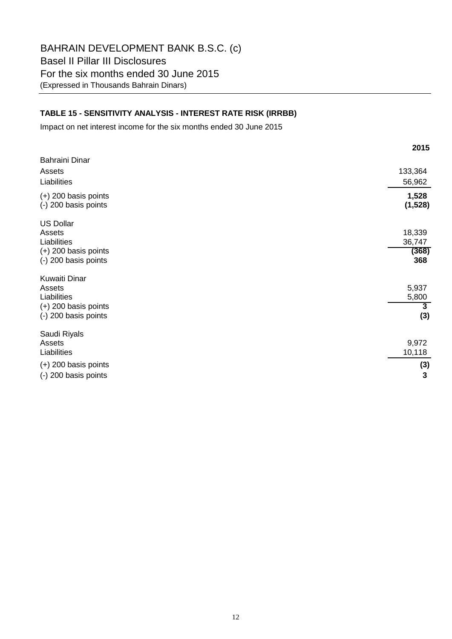## **TABLE 15 - SENSITIVITY ANALYSIS - INTEREST RATE RISK (IRRBB)**

Impact on net interest income for the six months ended 30 June 2015

|                                                                                                 | 2015                                             |
|-------------------------------------------------------------------------------------------------|--------------------------------------------------|
| <b>Bahraini Dinar</b><br>Assets<br>Liabilities                                                  | 133,364<br>56,962                                |
| $(+)$ 200 basis points<br>(-) 200 basis points                                                  | 1,528<br>(1, 528)                                |
| <b>US Dollar</b><br>Assets<br>Liabilities<br>$(+)$ 200 basis points<br>(-) 200 basis points     | 18,339<br>36,747<br>(368)<br>368                 |
| <b>Kuwaiti Dinar</b><br>Assets<br>Liabilities<br>$(+)$ 200 basis points<br>(-) 200 basis points | 5,937<br>5,800<br>$\overline{\mathbf{3}}$<br>(3) |
| Saudi Riyals<br>Assets<br>Liabilities<br>$(+)$ 200 basis points<br>(-) 200 basis points         | 9,972<br>10,118<br>(3)<br>3                      |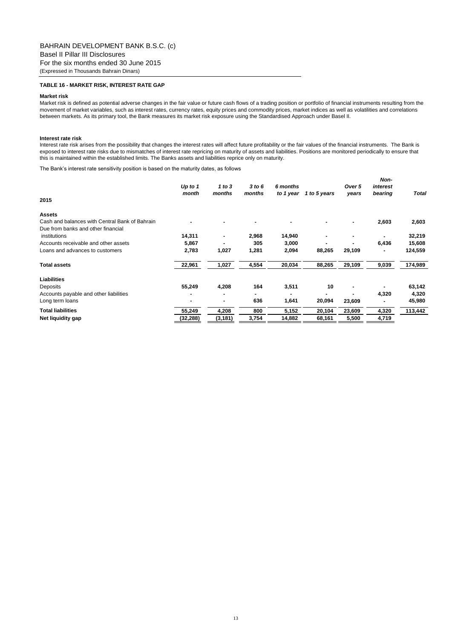### **TABLE 16 - MARKET RISK, INTEREST RATE GAP**

### **Market risk**

Market risk is defined as potential adverse changes in the fair value or future cash flows of a trading position or portfolio of financial instruments resulting from the movement of market variables, such as interest rates, currency rates, equity prices and commodity prices, market indices as well as volatilities and correlations between markets. As its primary tool, the Bank measures its market risk exposure using the Standardised Approach under Basel II.

### **Interest rate risk**

Interest rate risk arises from the possibility that changes the interest rates will affect future profitability or the fair values of the financial instruments. The Bank is exposed to interest rate risks due to mismatches of interest rate repricing on maturity of assets and liabilities. Positions are monitored periodically to ensure that this is maintained within the established limits. The Banks assets and liabilities reprice only on maturity.

The Bank's interest rate sensitivity position is based on the maturity dates, as follows

| 2015                                           | Up to $1$<br>month | 1 to $3$<br>months | 3 to 6<br>months | 6 months<br>to 1 year | 1 to 5 years | Over 5<br>years | Non-<br>interest<br>bearing | <b>Total</b> |
|------------------------------------------------|--------------------|--------------------|------------------|-----------------------|--------------|-----------------|-----------------------------|--------------|
| <b>Assets</b>                                  |                    |                    |                  |                       |              |                 |                             |              |
| Cash and balances with Central Bank of Bahrain |                    |                    |                  |                       |              |                 | 2,603                       | 2,603        |
| Due from banks and other financial             |                    |                    |                  |                       |              |                 |                             |              |
| institutions                                   | 14,311             | ٠                  | 2,968            | 14,940                |              |                 |                             | 32,219       |
| Accounts receivable and other assets           | 5,867              | ۰                  | 305              | 3,000                 |              | ۰               | 6,436                       | 15,608       |
| Loans and advances to customers                | 2,783              | 1,027              | 1,281            | 2,094                 | 88,265       | 29,109          | ٠                           | 124,559      |
| <b>Total assets</b>                            | 22,961             | 1,027              | 4,554            | 20,034                | 88,265       | 29,109          | 9,039                       | 174,989      |
| <b>Liabilities</b>                             |                    |                    |                  |                       |              |                 |                             |              |
| Deposits                                       | 55,249             | 4,208              | 164              | 3,511                 | 10           | ٠               |                             | 63,142       |
| Accounts payable and other liabilities         |                    | ۰                  | ۰                |                       |              |                 | 4,320                       | 4,320        |
| Long term loans                                |                    | ۰                  | 636              | 1,641                 | 20,094       | 23,609          |                             | 45,980       |
| <b>Total liabilities</b>                       | 55,249             | 4,208              | 800              | 5,152                 | 20,104       | 23,609          | 4,320                       | 113,442      |
| Net liquidity gap                              | (32,288)           | (3, 181)           | 3,754            | 14,882                | 68,161       | 5,500           | 4,719                       |              |
|                                                |                    |                    |                  |                       |              |                 |                             |              |